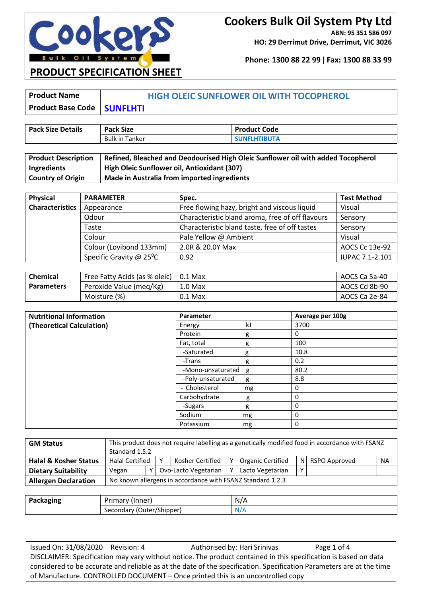

**ABN: 95 351 586 097 HO: 29 Derrimut Drive, Derrimut, VIC 3026**

**Phone: 1300 88 22 99 ǀ Fax: 1300 88 33 99**

# **PRODUCT SPECIFICATION SHEET**

| <b>Product Name</b>                 | <b>HIGH OLEIC SUNFLOWER OIL WITH TOCOPHEROL</b> |
|-------------------------------------|-------------------------------------------------|
| <b>Product Base Code   SUNFLHTI</b> |                                                 |

| <b>Pack Size Details</b> | <b>Pack Size</b>  | <b>Product Code</b> |
|--------------------------|-------------------|---------------------|
|                          | Bulk in<br>Tanker | <b>SUNFLHTIBUTA</b> |

| <b>Product Description</b> | Refined, Bleached and Deodourised High Oleic Sunflower oil with added Tocopherol |
|----------------------------|----------------------------------------------------------------------------------|
| Ingredients                | High Oleic Sunflower oil, Antioxidant (307)                                      |
| <b>Country of Origin</b>   | <b>Made in Australia from imported ingredients</b>                               |

| <b>Physical</b>        | <b>PARAMETER</b>                       | Spec.                                            | <b>Test Method</b> |
|------------------------|----------------------------------------|--------------------------------------------------|--------------------|
| <b>Characteristics</b> | Appearance                             | Free flowing hazy, bright and viscous liquid     | Visual             |
|                        | Odour                                  | Characteristic bland aroma, free of off flavours | Sensory            |
| Taste<br>Colour        |                                        | Characteristic bland taste, free of off tastes   | Sensory            |
|                        |                                        | Pale Yellow @ Ambient                            | Visual             |
|                        | Colour (Lovibond 133mm)                | 2.0R & 20.0Y Max                                 | AOCS Cc 13e-92     |
|                        | Specific Gravity $@$ 25 <sup>o</sup> C | 0.92                                             | IUPAC 7.1-2.101    |

| <b>Chemical</b>   | Free Fatty Acids (as % oleic) $\vert$ 0.1 Max |           | AOCS Ca 5a-40 |
|-------------------|-----------------------------------------------|-----------|---------------|
| <b>Parameters</b> | Peroxide Value (meg/Kg)                       | $1.0$ Max | AOCS Cd 8b-90 |
|                   | Moisture (%)                                  | $0.1$ Max | AOCS Ca 2e-84 |

| <b>Nutritional Information</b> | Parameter         |    | Average per 100g |
|--------------------------------|-------------------|----|------------------|
| (Theoretical Calculation)      | Energy            | kJ | 3700             |
|                                | Protein           | g  | 0                |
|                                | Fat, total        | g  | 100              |
|                                | -Saturated        | g  | 10.8             |
|                                | -Trans            | g  | 0.2              |
|                                | -Mono-unsaturated | g  | 80.2             |
|                                | -Poly-unsaturated | g  | 8.8              |
|                                | - Cholesterol     | mg | 0                |
|                                | Carbohydrate      | g  | 0                |
|                                | -Sugars           | g  | 0                |
|                                | Sodium            | mg | 0                |
|                                | Potassium         | mg | 0                |

| <b>GM Status</b>                 | This product does not require labelling as a genetically modified food in accordance with FSANZ<br>Standard 1.5.2 |                                                                                                      |  |  |  |  |  |
|----------------------------------|-------------------------------------------------------------------------------------------------------------------|------------------------------------------------------------------------------------------------------|--|--|--|--|--|
| <b>Halal &amp; Kosher Status</b> |                                                                                                                   | <b>Halal Certified</b><br>Kosher Certified<br>N RSPO Approved<br><b>NA</b><br>Organic Certified<br>v |  |  |  |  |  |
| <b>Dietary Suitability</b>       | Ovo-Lacto Vegetarian<br>Lacto Vegetarian<br>v<br>v<br>Vegan                                                       |                                                                                                      |  |  |  |  |  |
| <b>Allergen Declaration</b>      |                                                                                                                   | No known allergens in accordance with FSANZ Standard 1.2.3                                           |  |  |  |  |  |

| Dool<br>kaging | Dripaan<br>unner:<br>≝HL.<br>' ۱a<br>. .                           | N <sub>i</sub> |
|----------------|--------------------------------------------------------------------|----------------|
|                | $\sim$<br>/Shipper'<br>'/uter\'<br>conda<br>sec<br>r \ /<br>.00000 | N/A            |

Issued On: 31/08/2020 Revision: 4 Authorised by: Hari Srinivas Page 1 of 4 DISCLAIMER: Specification may vary without notice. The product contained in this specification is based on data considered to be accurate and reliable as at the date of the specification. Specification Parameters are at the time of Manufacture. CONTROLLED DOCUMENT – Once printed this is an uncontrolled copy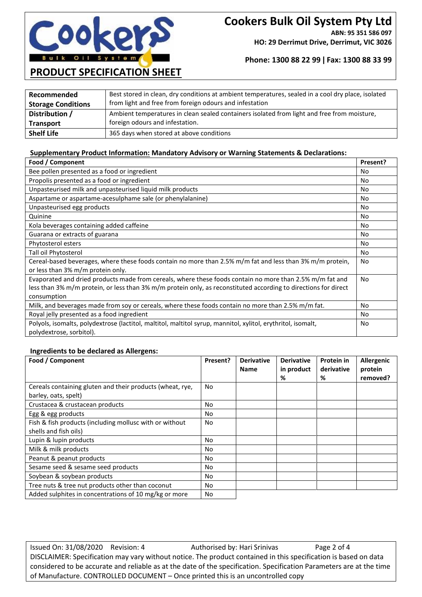

**ABN: 95 351 586 097 HO: 29 Derrimut Drive, Derrimut, VIC 3026**

### **Phone: 1300 88 22 99 ǀ Fax: 1300 88 33 99**

### **PRODUCT SPECIFICATION SHEET**

| Recommended<br><b>Storage Conditions</b> | Best stored in clean, dry conditions at ambient temperatures, sealed in a cool dry place, isolated<br>from light and free from foreign odours and infestation |
|------------------------------------------|---------------------------------------------------------------------------------------------------------------------------------------------------------------|
| Distribution /                           | Ambient temperatures in clean sealed containers isolated from light and free from moisture,                                                                   |
| Transport                                | foreign odours and infestation.                                                                                                                               |
| <b>Shelf Life</b>                        | 365 days when stored at above conditions                                                                                                                      |

### **Supplementary Product Information: Mandatory Advisory or Warning Statements & Declarations:**

| Food / Component                                                                                                | Present? |  |  |  |
|-----------------------------------------------------------------------------------------------------------------|----------|--|--|--|
| Bee pollen presented as a food or ingredient                                                                    | No       |  |  |  |
| Propolis presented as a food or ingredient                                                                      |          |  |  |  |
| Unpasteurised milk and unpasteurised liquid milk products                                                       | No       |  |  |  |
| Aspartame or aspartame-acesulphame sale (or phenylalanine)                                                      | No       |  |  |  |
| Unpasteurised egg products                                                                                      | No       |  |  |  |
| Quinine                                                                                                         | No       |  |  |  |
| Kola beverages containing added caffeine                                                                        | No       |  |  |  |
| Guarana or extracts of guarana                                                                                  | No       |  |  |  |
| Phytosterol esters                                                                                              | No       |  |  |  |
| Tall oil Phytosterol                                                                                            | No       |  |  |  |
| Cereal-based beverages, where these foods contain no more than 2.5% m/m fat and less than 3% m/m protein,       | No       |  |  |  |
| or less than 3% m/m protein only.                                                                               |          |  |  |  |
| Evaporated and dried products made from cereals, where these foods contain no more than 2.5% m/m fat and        | No       |  |  |  |
| less than 3% m/m protein, or less than 3% m/m protein only, as reconstituted according to directions for direct |          |  |  |  |
| consumption                                                                                                     |          |  |  |  |
| Milk, and beverages made from soy or cereals, where these foods contain no more than 2.5% m/m fat.              | No       |  |  |  |
| Royal jelly presented as a food ingredient                                                                      |          |  |  |  |
| Polyols, isomalts, polydextrose (lactitol, maltitol, maltitol syrup, mannitol, xylitol, erythritol, isomalt,    | No       |  |  |  |
| polydextrose, sorbitol).                                                                                        |          |  |  |  |

#### **Ingredients to be declared as Allergens:**

| Food / Component                                          | Present?  | <b>Derivative</b> | <b>Derivative</b> | <b>Protein in</b> | Allergenic |
|-----------------------------------------------------------|-----------|-------------------|-------------------|-------------------|------------|
|                                                           |           | <b>Name</b>       | in product        | derivative        | protein    |
|                                                           |           |                   | %                 | %                 | removed?   |
| Cereals containing gluten and their products (wheat, rye, | No        |                   |                   |                   |            |
| barley, oats, spelt)                                      |           |                   |                   |                   |            |
| Crustacea & crustacean products                           | No        |                   |                   |                   |            |
| Egg & egg products                                        | No        |                   |                   |                   |            |
| Fish & fish products (including mollusc with or without   | No        |                   |                   |                   |            |
| shells and fish oils)                                     |           |                   |                   |                   |            |
| Lupin & lupin products                                    | <b>No</b> |                   |                   |                   |            |
| Milk & milk products                                      | No        |                   |                   |                   |            |
| Peanut & peanut products                                  | No        |                   |                   |                   |            |
| Sesame seed & sesame seed products                        | No        |                   |                   |                   |            |
| Soybean & soybean products                                | No        |                   |                   |                   |            |
| Tree nuts & tree nut products other than coconut          | No        |                   |                   |                   |            |
| Added sulphites in concentrations of 10 mg/kg or more     | No        |                   |                   |                   |            |

Issued On: 31/08/2020 Revision: 4 Authorised by: Hari Srinivas Page 2 of 4 DISCLAIMER: Specification may vary without notice. The product contained in this specification is based on data considered to be accurate and reliable as at the date of the specification. Specification Parameters are at the time of Manufacture. CONTROLLED DOCUMENT – Once printed this is an uncontrolled copy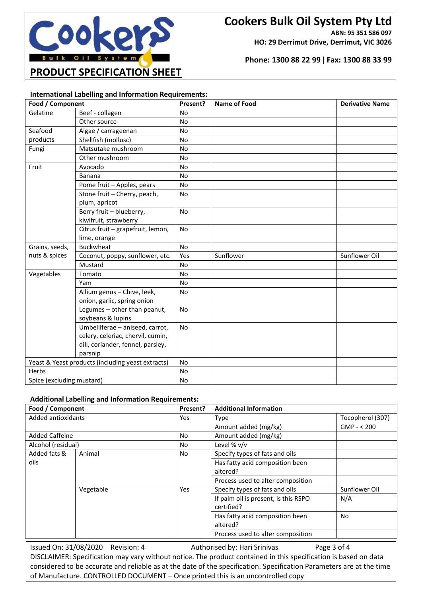

**ABN: 95 351 586 097**

**HO: 29 Derrimut Drive, Derrimut, VIC 3026**

#### **Phone: 1300 88 22 99 ǀ Fax: 1300 88 33 99**

#### **International Labelling and Information Requirements:**

| Food / Component          |                                                   | Present?  | <b>Name of Food</b> | <b>Derivative Name</b> |
|---------------------------|---------------------------------------------------|-----------|---------------------|------------------------|
| Gelatine                  | Beef - collagen                                   | No        |                     |                        |
|                           | Other source                                      | No        |                     |                        |
| Seafood                   | Algae / carrageenan                               | No        |                     |                        |
| products                  | Shellfish (mollusc)                               | <b>No</b> |                     |                        |
| Fungi                     | Matsutake mushroom                                | No        |                     |                        |
|                           | Other mushroom                                    | <b>No</b> |                     |                        |
| Fruit                     | Avocado                                           | <b>No</b> |                     |                        |
|                           | Banana                                            | No        |                     |                        |
|                           | Pome fruit - Apples, pears                        | <b>No</b> |                     |                        |
|                           | Stone fruit - Cherry, peach,                      | No        |                     |                        |
|                           | plum, apricot                                     |           |                     |                        |
|                           | Berry fruit - blueberry,                          | <b>No</b> |                     |                        |
|                           | kiwifruit, strawberry                             |           |                     |                        |
|                           | Citrus fruit - grapefruit, lemon,                 | <b>No</b> |                     |                        |
|                           | lime, orange                                      |           |                     |                        |
| Grains, seeds,            | <b>Buckwheat</b>                                  | No        |                     |                        |
| nuts & spices             | Coconut, poppy, sunflower, etc.                   | Yes       | Sunflower           | Sunflower Oil          |
|                           | Mustard                                           | <b>No</b> |                     |                        |
| Vegetables                | Tomato                                            | <b>No</b> |                     |                        |
|                           | Yam                                               | <b>No</b> |                     |                        |
|                           | Allium genus - Chive, leek,                       | No        |                     |                        |
|                           | onion, garlic, spring onion                       |           |                     |                        |
|                           | Legumes - other than peanut,                      | <b>No</b> |                     |                        |
|                           | soybeans & lupins                                 |           |                     |                        |
|                           | Umbelliferae - aniseed, carrot,                   | <b>No</b> |                     |                        |
|                           | celery, celeriac, chervil, cumin,                 |           |                     |                        |
|                           | dill, coriander, fennel, parsley,                 |           |                     |                        |
|                           | parsnip                                           |           |                     |                        |
|                           | Yeast & Yeast products (including yeast extracts) | <b>No</b> |                     |                        |
| Herbs                     |                                                   | <b>No</b> |                     |                        |
| Spice (excluding mustard) |                                                   | <b>No</b> |                     |                        |

#### **Additional Labelling and Information Requirements:**

| Food / Component      |           | Present?   | <b>Additional Information</b>        |                  |
|-----------------------|-----------|------------|--------------------------------------|------------------|
| Added antioxidants    |           | <b>Yes</b> | <b>Type</b>                          | Tocopherol (307) |
|                       |           |            | Amount added (mg/kg)                 | $GMP - 200$      |
| <b>Added Caffeine</b> |           | No         | Amount added (mg/kg)                 |                  |
| Alcohol (residual)    |           | No         | Level % $v/v$                        |                  |
| Added fats &          | Animal    | No         | Specify types of fats and oils       |                  |
| oils                  |           |            | Has fatty acid composition been      |                  |
|                       |           |            | altered?                             |                  |
|                       |           |            | Process used to alter composition    |                  |
|                       | Vegetable | Yes        | Specify types of fats and oils       | Sunflower Oil    |
|                       |           |            | If palm oil is present, is this RSPO | N/A              |
|                       |           |            | certified?                           |                  |
|                       |           |            | Has fatty acid composition been      | No               |
|                       |           |            | altered?                             |                  |
|                       |           |            | Process used to alter composition    |                  |

Issued On: 31/08/2020 Revision: 4 Authorised by: Hari Srinivas Page 3 of 4 DISCLAIMER: Specification may vary without notice. The product contained in this specification is based on data considered to be accurate and reliable as at the date of the specification. Specification Parameters are at the time of Manufacture. CONTROLLED DOCUMENT – Once printed this is an uncontrolled copy